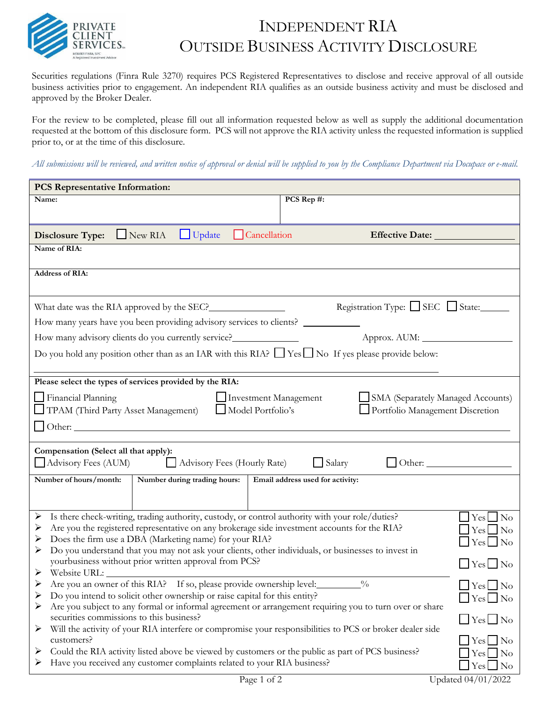

## INDEPENDENT RIA OUTSIDE BUSINESS ACTIVITY DISCLOSURE

Securities regulations (Finra Rule 3270) requires PCS Registered Representatives to disclose and receive approval of all outside business activities prior to engagement. An independent RIA qualifies as an outside business activity and must be disclosed and approved by the Broker Dealer.

For the review to be completed, please fill out all information requested below as well as supply the additional documentation requested at the bottom of this disclosure form. PCS will not approve the RIA activity unless the requested information is supplied prior to, or at the time of this disclosure.

All submissions will be reviewed, and written notice of approval or denial will be supplied to you by the Compliance Department via Docupace or e-mail.

| <b>PCS Representative Information:</b>                                                                                                                                                                                                                                                                                                                                                                                                               |                                   |  |  |
|------------------------------------------------------------------------------------------------------------------------------------------------------------------------------------------------------------------------------------------------------------------------------------------------------------------------------------------------------------------------------------------------------------------------------------------------------|-----------------------------------|--|--|
| Name:                                                                                                                                                                                                                                                                                                                                                                                                                                                | PCS Rep #:                        |  |  |
|                                                                                                                                                                                                                                                                                                                                                                                                                                                      |                                   |  |  |
| $\Box$ New RIA<br>$\Box$ Update<br>$\Box$ Cancellation<br><b>Disclosure Type:</b>                                                                                                                                                                                                                                                                                                                                                                    | Effective Date:                   |  |  |
| Name of RIA:                                                                                                                                                                                                                                                                                                                                                                                                                                         |                                   |  |  |
| <b>Address of RIA:</b>                                                                                                                                                                                                                                                                                                                                                                                                                               |                                   |  |  |
|                                                                                                                                                                                                                                                                                                                                                                                                                                                      |                                   |  |  |
|                                                                                                                                                                                                                                                                                                                                                                                                                                                      | Registration Type: □ SEC □ State: |  |  |
| How many years have you been providing advisory services to clients? ___________                                                                                                                                                                                                                                                                                                                                                                     |                                   |  |  |
| How many advisory clients do you currently service?_____________________________                                                                                                                                                                                                                                                                                                                                                                     |                                   |  |  |
| Do you hold any position other than as an IAR with this RIA? $\Box$ Yes $\Box$ No If yes please provide below:                                                                                                                                                                                                                                                                                                                                       |                                   |  |  |
|                                                                                                                                                                                                                                                                                                                                                                                                                                                      |                                   |  |  |
| Please select the types of services provided by the RIA:<br>$\Box$ Financial Planning<br>Investment Management<br>SMA (Separately Managed Accounts)<br>Model Portfolio's<br>Portfolio Management Discretion<br>TPAM (Third Party Asset Management)                                                                                                                                                                                                   |                                   |  |  |
| Compensation (Select all that apply):<br>Advisory Fees (AUM)<br>$\Box$ Salary<br>Advisory Fees (Hourly Rate)<br>$\Box$ Other: $\Box$                                                                                                                                                                                                                                                                                                                 |                                   |  |  |
| Number of hours/month:<br>Number during trading hours:                                                                                                                                                                                                                                                                                                                                                                                               | Email address used for activity:  |  |  |
|                                                                                                                                                                                                                                                                                                                                                                                                                                                      |                                   |  |  |
| Is there check-writing, trading authority, custody, or control authority with your role/duties?<br>➤<br>$\vert$ Yes $\vert$ No<br>Are you the registered representative on any brokerage side investment accounts for the RIA?<br>➤<br>$\exists$ Yes $\Box$ No<br>Does the firm use a DBA (Marketing name) for your RIA?<br>➤<br>$Yes \Box No$<br>Do you understand that you may not ask your clients, other individuals, or businesses to invest in |                                   |  |  |
| yourbusiness without prior written approval from PCS?<br>Website URL:<br>➤                                                                                                                                                                                                                                                                                                                                                                           | $\Box$ Yes $\Box$ No              |  |  |
| Are you an owner of this RIA? If so, please provide ownership level:<br>$\frac{0}{0}$<br>➤<br>$\Box$ Yes $\Box$ No<br>Do you intend to solicit other ownership or raise capital for this entity?<br>➤<br>$\vert$ Yes $\vert$ No<br>Are you subject to any formal or informal agreement or arrangement requiring you to turn over or share<br>➤                                                                                                       |                                   |  |  |
| securities commissions to this business?<br>$\Box$ Yes $\Box$ No<br>Will the activity of your RIA interfere or compromise your responsibilities to PCS or broker dealer side<br>➤                                                                                                                                                                                                                                                                    |                                   |  |  |
| $\bigcup$ Yes $\bigcap$ No<br>customers?<br>Could the RIA activity listed above be viewed by customers or the public as part of PCS business?<br>➤<br>$Yes \bigsqcup No$<br>Have you received any customer complaints related to your RIA business?<br>➤<br>$Yes \Box No$                                                                                                                                                                            |                                   |  |  |